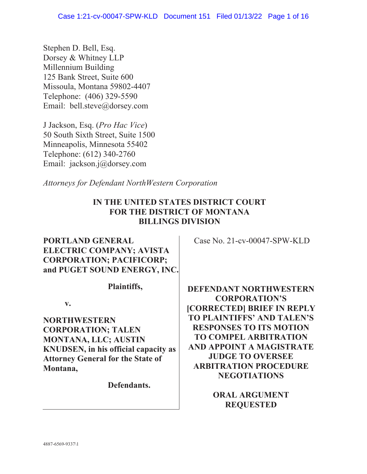Stephen D. Bell, Esq. Dorsey & Whitney LLP Millennium Building 125 Bank Street, Suite 600 Missoula, Montana 59802-4407 Telephone: (406) 329-5590 Email: bell.steve@dorsey.com

J Jackson, Esq. (*Pro Hac Vice*) 50 South Sixth Street, Suite 1500 Minneapolis, Minnesota 55402 Telephone: (612) 340-2760 Email: jackson.j@dorsey.com

*Attorneys for Defendant NorthWestern Corporation*

# **IN THE UNITED STATES DISTRICT COURT FOR THE DISTRICT OF MONTANA BILLINGS DIVISION**

# **PORTLAND GENERAL ELECTRIC COMPANY; AVISTA CORPORATION; PACIFICORP; and PUGET SOUND ENERGY, INC.**

**Plaintiffs,** 

**v.** 

**NORTHWESTERN CORPORATION; TALEN MONTANA, LLC; AUSTIN KNUDSEN, in his official capacity as Attorney General for the State of Montana,** 

**Defendants.**

Case No. 21-cv-00047-SPW-KLD

**DEFENDANT NORTHWESTERN CORPORATION'S [CORRECTED] BRIEF IN REPLY TO PLAINTIFFS' AND TALEN'S RESPONSES TO ITS MOTION TO COMPEL ARBITRATION AND APPOINT A MAGISTRATE JUDGE TO OVERSEE ARBITRATION PROCEDURE NEGOTIATIONS** 

> **ORAL ARGUMENT REQUESTED**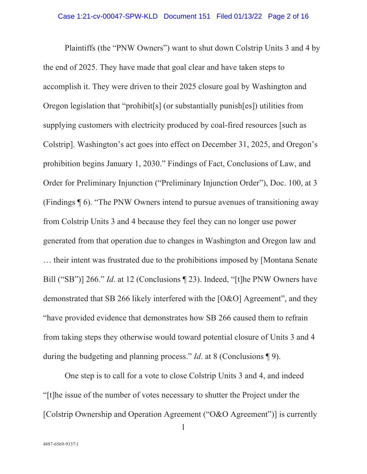Plaintiffs (the "PNW Owners") want to shut down Colstrip Units 3 and 4 by the end of 2025. They have made that goal clear and have taken steps to accomplish it. They were driven to their 2025 closure goal by Washington and Oregon legislation that "prohibit[s] (or substantially punish[es]) utilities from supplying customers with electricity produced by coal-fired resources [such as Colstrip]. Washington's act goes into effect on December 31, 2025, and Oregon's prohibition begins January 1, 2030." Findings of Fact, Conclusions of Law, and Order for Preliminary Injunction ("Preliminary Injunction Order"), Doc. 100, at 3 (Findings ¶ 6). "The PNW Owners intend to pursue avenues of transitioning away from Colstrip Units 3 and 4 because they feel they can no longer use power generated from that operation due to changes in Washington and Oregon law and … their intent was frustrated due to the prohibitions imposed by [Montana Senate Bill ("SB")] 266." *Id*. at 12 (Conclusions ¶ 23). Indeed, "[t]he PNW Owners have demonstrated that SB 266 likely interfered with the [O&O] Agreement", and they "have provided evidence that demonstrates how SB 266 caused them to refrain from taking steps they otherwise would toward potential closure of Units 3 and 4 during the budgeting and planning process." *Id*. at 8 (Conclusions ¶ 9).

One step is to call for a vote to close Colstrip Units 3 and 4, and indeed "[t]he issue of the number of votes necessary to shutter the Project under the [Colstrip Ownership and Operation Agreement ("O&O Agreement")] is currently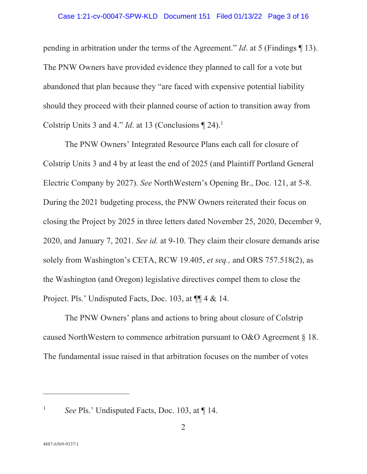#### Case 1:21-cv-00047-SPW-KLD Document 151 Filed 01/13/22 Page 3 of 16

pending in arbitration under the terms of the Agreement." *Id*. at 5 (Findings ¶ 13). The PNW Owners have provided evidence they planned to call for a vote but abandoned that plan because they "are faced with expensive potential liability should they proceed with their planned course of action to transition away from Colstrip Units 3 and 4." *Id.* at 13 (Conclusions  $\P$  24).<sup>1</sup>

The PNW Owners' Integrated Resource Plans each call for closure of Colstrip Units 3 and 4 by at least the end of 2025 (and Plaintiff Portland General Electric Company by 2027). *See* NorthWestern's Opening Br., Doc. 121, at 5-8. During the 2021 budgeting process, the PNW Owners reiterated their focus on closing the Project by 2025 in three letters dated November 25, 2020, December 9, 2020, and January 7, 2021. *See id.* at 9-10. They claim their closure demands arise solely from Washington's CETA, RCW 19.405, *et seq.,* and ORS 757.518(2), as the Washington (and Oregon) legislative directives compel them to close the Project. Pls.' Undisputed Facts, Doc. 103, at  $\P\P$  4 & 14.

The PNW Owners' plans and actions to bring about closure of Colstrip caused NorthWestern to commence arbitration pursuant to O&O Agreement § 18. The fundamental issue raised in that arbitration focuses on the number of votes

<sup>1</sup> *See* Pls.' Undisputed Facts, Doc. 103, at 14.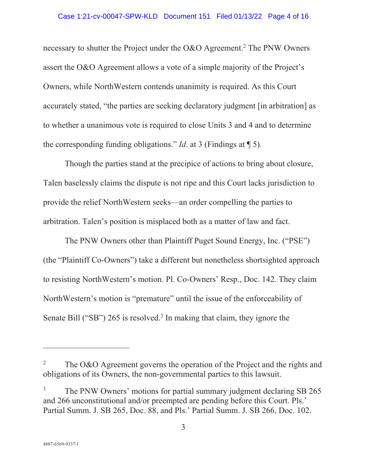#### Case 1:21-cv-00047-SPW-KLD Document 151 Filed 01/13/22 Page 4 of 16

necessary to shutter the Project under the O&O Agreement.<sup>2</sup> The PNW Owners assert the O&O Agreement allows a vote of a simple majority of the Project's Owners, while NorthWestern contends unanimity is required. As this Court accurately stated, "the parties are seeking declaratory judgment [in arbitration] as to whether a unanimous vote is required to close Units 3 and 4 and to determine the corresponding funding obligations." *Id*. at 3 (Findings at ¶ 5).

Though the parties stand at the precipice of actions to bring about closure, Talen baselessly claims the dispute is not ripe and this Court lacks jurisdiction to provide the relief NorthWestern seeks—an order compelling the parties to arbitration. Talen's position is misplaced both as a matter of law and fact.

The PNW Owners other than Plaintiff Puget Sound Energy, Inc. ("PSE") (the "Plaintiff Co-Owners") take a different but nonetheless shortsighted approach to resisting NorthWestern's motion. Pl. Co-Owners' Resp., Doc. 142. They claim NorthWestern's motion is "premature" until the issue of the enforceability of Senate Bill ("SB") 265 is resolved.<sup>3</sup> In making that claim, they ignore the

<sup>2</sup> The O&O Agreement governs the operation of the Project and the rights and obligations of its Owners, the non-governmental parties to this lawsuit.

<sup>3</sup> The PNW Owners' motions for partial summary judgment declaring SB 265 and 266 unconstitutional and/or preempted are pending before this Court. Pls.' Partial Summ. J. SB 265, Doc. 88, and Pls.' Partial Summ. J. SB 266, Doc. 102.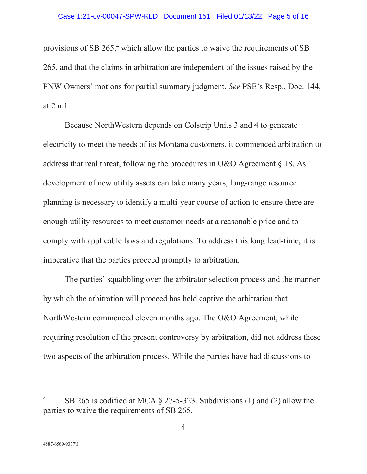provisions of SB 265,<sup>4</sup> which allow the parties to waive the requirements of SB 265, and that the claims in arbitration are independent of the issues raised by the PNW Owners' motions for partial summary judgment. *See* PSE's Resp., Doc. 144, at 2 n.1.

Because NorthWestern depends on Colstrip Units 3 and 4 to generate electricity to meet the needs of its Montana customers, it commenced arbitration to address that real threat, following the procedures in O&O Agreement § 18. As development of new utility assets can take many years, long-range resource planning is necessary to identify a multi-year course of action to ensure there are enough utility resources to meet customer needs at a reasonable price and to comply with applicable laws and regulations. To address this long lead-time, it is imperative that the parties proceed promptly to arbitration.

The parties' squabbling over the arbitrator selection process and the manner by which the arbitration will proceed has held captive the arbitration that NorthWestern commenced eleven months ago. The O&O Agreement, while requiring resolution of the present controversy by arbitration, did not address these two aspects of the arbitration process. While the parties have had discussions to

<sup>4</sup> SB 265 is codified at MCA § 27-5-323. Subdivisions (1) and (2) allow the parties to waive the requirements of SB 265.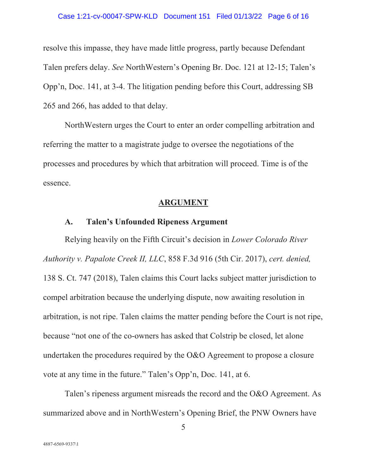#### Case 1:21-cv-00047-SPW-KLD Document 151 Filed 01/13/22 Page 6 of 16

resolve this impasse, they have made little progress, partly because Defendant Talen prefers delay. *See* NorthWestern's Opening Br. Doc. 121 at 12-15; Talen's Opp'n, Doc. 141, at 3-4. The litigation pending before this Court, addressing SB 265 and 266, has added to that delay.

NorthWestern urges the Court to enter an order compelling arbitration and referring the matter to a magistrate judge to oversee the negotiations of the processes and procedures by which that arbitration will proceed. Time is of the essence.

#### **ARGUMENT**

### **A. Talen's Unfounded Ripeness Argument**

Relying heavily on the Fifth Circuit's decision in *Lower Colorado River Authority v. Papalote Creek II, LLC*, 858 F.3d 916 (5th Cir. 2017), *cert. denied,*  138 S. Ct. 747 (2018), Talen claims this Court lacks subject matter jurisdiction to compel arbitration because the underlying dispute, now awaiting resolution in arbitration, is not ripe. Talen claims the matter pending before the Court is not ripe, because "not one of the co-owners has asked that Colstrip be closed, let alone undertaken the procedures required by the O&O Agreement to propose a closure vote at any time in the future." Talen's Opp'n, Doc. 141, at 6.

Talen's ripeness argument misreads the record and the O&O Agreement. As summarized above and in NorthWestern's Opening Brief, the PNW Owners have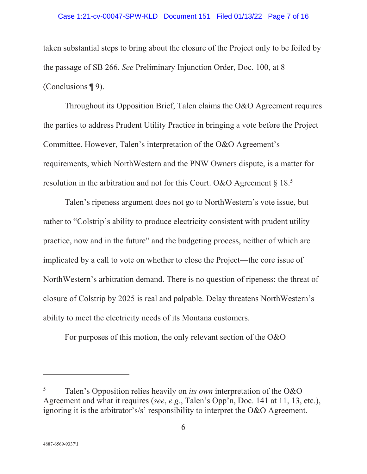#### Case 1:21-cv-00047-SPW-KLD Document 151 Filed 01/13/22 Page 7 of 16

taken substantial steps to bring about the closure of the Project only to be foiled by the passage of SB 266. *See* Preliminary Injunction Order, Doc. 100, at 8 (Conclusions ¶ 9).

Throughout its Opposition Brief, Talen claims the O&O Agreement requires the parties to address Prudent Utility Practice in bringing a vote before the Project Committee. However, Talen's interpretation of the O&O Agreement's requirements, which NorthWestern and the PNW Owners dispute, is a matter for resolution in the arbitration and not for this Court. O&O Agreement  $\S 18<sup>5</sup>$ 

Talen's ripeness argument does not go to NorthWestern's vote issue, but rather to "Colstrip's ability to produce electricity consistent with prudent utility practice, now and in the future" and the budgeting process, neither of which are implicated by a call to vote on whether to close the Project—the core issue of NorthWestern's arbitration demand. There is no question of ripeness: the threat of closure of Colstrip by 2025 is real and palpable. Delay threatens NorthWestern's ability to meet the electricity needs of its Montana customers.

For purposes of this motion, the only relevant section of the O&O

<sup>5</sup> Talen's Opposition relies heavily on *its own* interpretation of the O&O Agreement and what it requires (*see*, *e.g.*, Talen's Opp'n, Doc. 141 at 11, 13, etc.), ignoring it is the arbitrator's/s' responsibility to interpret the O&O Agreement.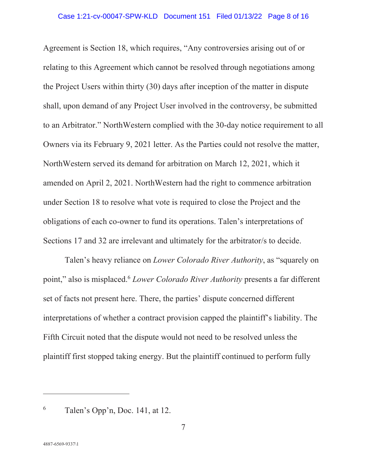Agreement is Section 18, which requires, "Any controversies arising out of or relating to this Agreement which cannot be resolved through negotiations among the Project Users within thirty (30) days after inception of the matter in dispute shall, upon demand of any Project User involved in the controversy, be submitted to an Arbitrator." NorthWestern complied with the 30-day notice requirement to all Owners via its February 9, 2021 letter. As the Parties could not resolve the matter, NorthWestern served its demand for arbitration on March 12, 2021, which it amended on April 2, 2021. NorthWestern had the right to commence arbitration under Section 18 to resolve what vote is required to close the Project and the obligations of each co-owner to fund its operations. Talen's interpretations of Sections 17 and 32 are irrelevant and ultimately for the arbitrator/s to decide.

Talen's heavy reliance on *Lower Colorado River Authority*, as "squarely on point," also is misplaced.6 *Lower Colorado River Authority* presents a far different set of facts not present here. There, the parties' dispute concerned different interpretations of whether a contract provision capped the plaintiff's liability. The Fifth Circuit noted that the dispute would not need to be resolved unless the plaintiff first stopped taking energy. But the plaintiff continued to perform fully

<sup>6</sup> Talen's Opp'n, Doc. 141, at 12.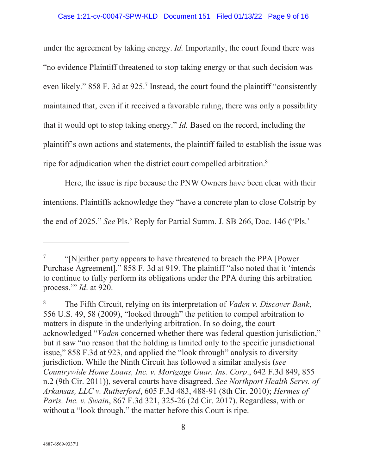under the agreement by taking energy. *Id.* Importantly, the court found there was "no evidence Plaintiff threatened to stop taking energy or that such decision was even likely." 858 F. 3d at 925.<sup>7</sup> Instead, the court found the plaintiff "consistently maintained that, even if it received a favorable ruling, there was only a possibility that it would opt to stop taking energy." *Id.* Based on the record, including the plaintiff's own actions and statements, the plaintiff failed to establish the issue was ripe for adjudication when the district court compelled arbitration.8

Here, the issue is ripe because the PNW Owners have been clear with their intentions. Plaintiffs acknowledge they "have a concrete plan to close Colstrip by the end of 2025." *See* Pls.' Reply for Partial Summ. J. SB 266, Doc. 146 ("Pls.'

<sup>7</sup> "[N]either party appears to have threatened to breach the PPA [Power Purchase Agreement]." 858 F. 3d at 919. The plaintiff "also noted that it 'intends to continue to fully perform its obligations under the PPA during this arbitration process.'" *Id*. at 920.

<sup>8</sup> The Fifth Circuit, relying on its interpretation of *Vaden v. Discover Bank*, 556 U.S. 49, 58 (2009), "looked through" the petition to compel arbitration to matters in dispute in the underlying arbitration. In so doing, the court acknowledged "*Vaden* concerned whether there was federal question jurisdiction," but it saw "no reason that the holding is limited only to the specific jurisdictional issue," 858 F.3d at 923, and applied the "look through" analysis to diversity jurisdiction. While the Ninth Circuit has followed a similar analysis (*see Countrywide Home Loans, Inc. v. Mortgage Guar. Ins. Corp*., 642 F.3d 849, 855 n.2 (9th Cir. 2011)), several courts have disagreed. *See Northport Health Servs. of Arkansas, LLC v. Rutherford*, 605 F.3d 483, 488-91 (8th Cir. 2010); *Hermes of Paris, Inc. v. Swain*, 867 F.3d 321, 325-26 (2d Cir. 2017). Regardless, with or without a "look through," the matter before this Court is ripe.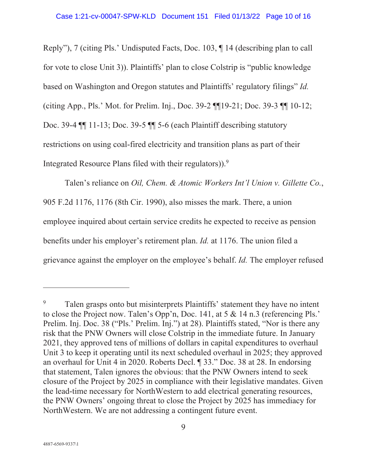Reply"), 7 (citing Pls.' Undisputed Facts, Doc. 103, ¶ 14 (describing plan to call for vote to close Unit 3)). Plaintiffs' plan to close Colstrip is "public knowledge based on Washington and Oregon statutes and Plaintiffs' regulatory filings" *Id.* (citing App., Pls.' Mot. for Prelim. Inj., Doc. 39-2 ¶¶19-21; Doc. 39-3 ¶¶ 10-12; Doc. 39-4 ¶¶ 11-13; Doc. 39-5 ¶¶ 5-6 (each Plaintiff describing statutory restrictions on using coal-fired electricity and transition plans as part of their Integrated Resource Plans filed with their regulators)).<sup>9</sup>

Talen's reliance on *Oil, Chem. & Atomic Workers Int'l Union v. Gillette Co.*, 905 F.2d 1176, 1176 (8th Cir. 1990), also misses the mark. There, a union employee inquired about certain service credits he expected to receive as pension benefits under his employer's retirement plan. *Id.* at 1176. The union filed a grievance against the employer on the employee's behalf. *Id.* The employer refused

<sup>9</sup> Talen grasps onto but misinterprets Plaintiffs' statement they have no intent to close the Project now. Talen's Opp'n, Doc. 141, at 5 & 14 n.3 (referencing Pls.' Prelim. Inj. Doc. 38 ("Pls.' Prelim. Inj.") at 28). Plaintiffs stated, "Nor is there any risk that the PNW Owners will close Colstrip in the immediate future. In January 2021, they approved tens of millions of dollars in capital expenditures to overhaul Unit 3 to keep it operating until its next scheduled overhaul in 2025; they approved an overhaul for Unit 4 in 2020. Roberts Decl. ¶ 33." Doc. 38 at 28. In endorsing that statement, Talen ignores the obvious: that the PNW Owners intend to seek closure of the Project by 2025 in compliance with their legislative mandates. Given the lead-time necessary for NorthWestern to add electrical generating resources, the PNW Owners' ongoing threat to close the Project by 2025 has immediacy for NorthWestern. We are not addressing a contingent future event.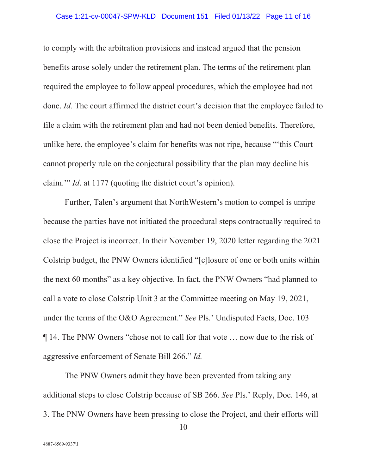#### Case 1:21-cv-00047-SPW-KLD Document 151 Filed 01/13/22 Page 11 of 16

to comply with the arbitration provisions and instead argued that the pension benefits arose solely under the retirement plan. The terms of the retirement plan required the employee to follow appeal procedures, which the employee had not done. *Id.* The court affirmed the district court's decision that the employee failed to file a claim with the retirement plan and had not been denied benefits. Therefore, unlike here, the employee's claim for benefits was not ripe, because "'this Court cannot properly rule on the conjectural possibility that the plan may decline his claim.'" *Id*. at 1177 (quoting the district court's opinion).

Further, Talen's argument that NorthWestern's motion to compel is unripe because the parties have not initiated the procedural steps contractually required to close the Project is incorrect. In their November 19, 2020 letter regarding the 2021 Colstrip budget, the PNW Owners identified "[c]losure of one or both units within the next 60 months" as a key objective. In fact, the PNW Owners "had planned to call a vote to close Colstrip Unit 3 at the Committee meeting on May 19, 2021, under the terms of the O&O Agreement." *See* Pls.' Undisputed Facts, Doc. 103 ¶ 14. The PNW Owners "chose not to call for that vote … now due to the risk of aggressive enforcement of Senate Bill 266." *Id.* 

The PNW Owners admit they have been prevented from taking any additional steps to close Colstrip because of SB 266. *See* Pls.' Reply, Doc. 146, at 3. The PNW Owners have been pressing to close the Project, and their efforts will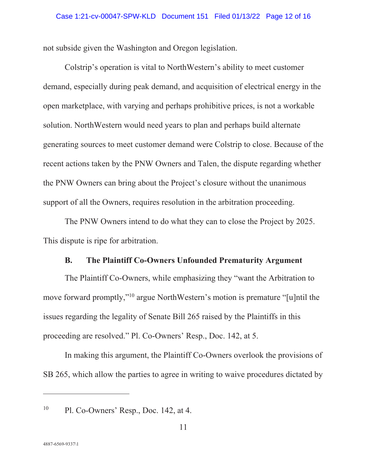not subside given the Washington and Oregon legislation.

Colstrip's operation is vital to NorthWestern's ability to meet customer demand, especially during peak demand, and acquisition of electrical energy in the open marketplace, with varying and perhaps prohibitive prices, is not a workable solution. NorthWestern would need years to plan and perhaps build alternate generating sources to meet customer demand were Colstrip to close. Because of the recent actions taken by the PNW Owners and Talen, the dispute regarding whether the PNW Owners can bring about the Project's closure without the unanimous support of all the Owners, requires resolution in the arbitration proceeding.

The PNW Owners intend to do what they can to close the Project by 2025. This dispute is ripe for arbitration.

## **B. The Plaintiff Co-Owners Unfounded Prematurity Argument**

The Plaintiff Co-Owners, while emphasizing they "want the Arbitration to move forward promptly,"10 argue NorthWestern's motion is premature "[u]ntil the issues regarding the legality of Senate Bill 265 raised by the Plaintiffs in this proceeding are resolved." Pl. Co-Owners' Resp., Doc. 142, at 5.

In making this argument, the Plaintiff Co-Owners overlook the provisions of SB 265, which allow the parties to agree in writing to waive procedures dictated by

 $10$  Pl. Co-Owners' Resp., Doc. 142, at 4.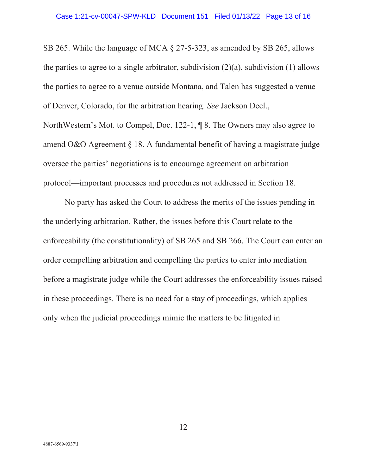SB 265. While the language of MCA § 27-5-323, as amended by SB 265, allows the parties to agree to a single arbitrator, subdivision  $(2)(a)$ , subdivision  $(1)$  allows the parties to agree to a venue outside Montana, and Talen has suggested a venue of Denver, Colorado, for the arbitration hearing. *See* Jackson Decl., NorthWestern's Mot. to Compel, Doc. 122-1, ¶ 8. The Owners may also agree to amend O&O Agreement § 18. A fundamental benefit of having a magistrate judge oversee the parties' negotiations is to encourage agreement on arbitration

protocol—important processes and procedures not addressed in Section 18.

No party has asked the Court to address the merits of the issues pending in the underlying arbitration. Rather, the issues before this Court relate to the enforceability (the constitutionality) of SB 265 and SB 266. The Court can enter an order compelling arbitration and compelling the parties to enter into mediation before a magistrate judge while the Court addresses the enforceability issues raised in these proceedings. There is no need for a stay of proceedings, which applies only when the judicial proceedings mimic the matters to be litigated in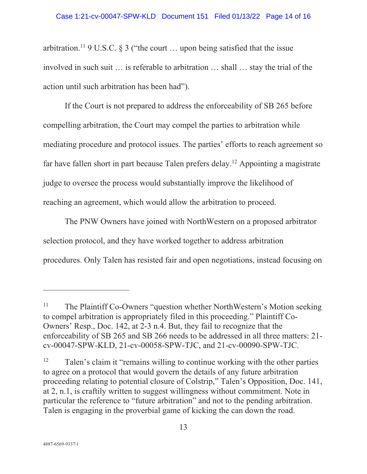#### Case 1:21-cv-00047-SPW-KLD Document 151 Filed 01/13/22 Page 14 of 16

arbitration.<sup>11</sup> 9 U.S.C. § 3 ("the court ... upon being satisfied that the issue involved in such suit … is referable to arbitration … shall … stay the trial of the action until such arbitration has been had").

If the Court is not prepared to address the enforceability of SB 265 before compelling arbitration, the Court may compel the parties to arbitration while mediating procedure and protocol issues. The parties' efforts to reach agreement so far have fallen short in part because Talen prefers delay.12 Appointing a magistrate judge to oversee the process would substantially improve the likelihood of reaching an agreement, which would allow the arbitration to proceed.

The PNW Owners have joined with NorthWestern on a proposed arbitrator selection protocol, and they have worked together to address arbitration procedures. Only Talen has resisted fair and open negotiations, instead focusing on

<sup>&</sup>lt;sup>11</sup> The Plaintiff Co-Owners "question whether NorthWestern's Motion seeking to compel arbitration is appropriately filed in this proceeding." Plaintiff Co-Owners' Resp., Doc. 142, at 2-3 n.4. But, they fail to recognize that the enforceability of SB 265 and SB 266 needs to be addressed in all three matters: 21 cv-00047-SPW-KLD, 21-cv-00058-SPW-TJC, and 21-cv-00090-SPW-TJC.

 $12$  Talen's claim it "remains willing to continue working with the other parties to agree on a protocol that would govern the details of any future arbitration proceeding relating to potential closure of Colstrip," Talen's Opposition, Doc. 141, at 2, n.1, is craftily written to suggest willingness without commitment. Note in particular the reference to "future arbitration" and not to the pending arbitration. Talen is engaging in the proverbial game of kicking the can down the road.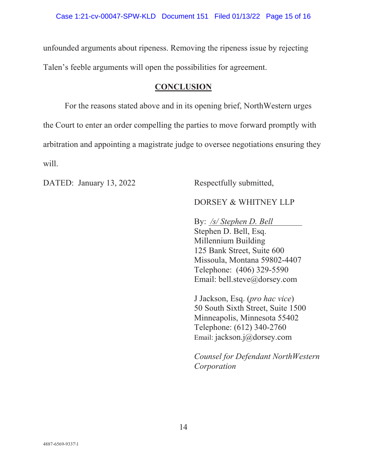unfounded arguments about ripeness. Removing the ripeness issue by rejecting Talen's feeble arguments will open the possibilities for agreement.

## **CONCLUSION**

For the reasons stated above and in its opening brief, NorthWestern urges the Court to enter an order compelling the parties to move forward promptly with arbitration and appointing a magistrate judge to oversee negotiations ensuring they will.

DATED: January 13, 2022 Respectfully submitted,

# DORSEY & WHITNEY LLP

By: */s/ Stephen D. Bell*  Stephen D. Bell, Esq. Millennium Building 125 Bank Street, Suite 600 Missoula, Montana 59802-4407 Telephone: (406) 329-5590 Email: bell.steve@dorsey.com

J Jackson, Esq. (*pro hac vice*) 50 South Sixth Street, Suite 1500 Minneapolis, Minnesota 55402 Telephone: (612) 340-2760 Email: jackson.j@dorsey.com

*Counsel for Defendant NorthWestern Corporation*